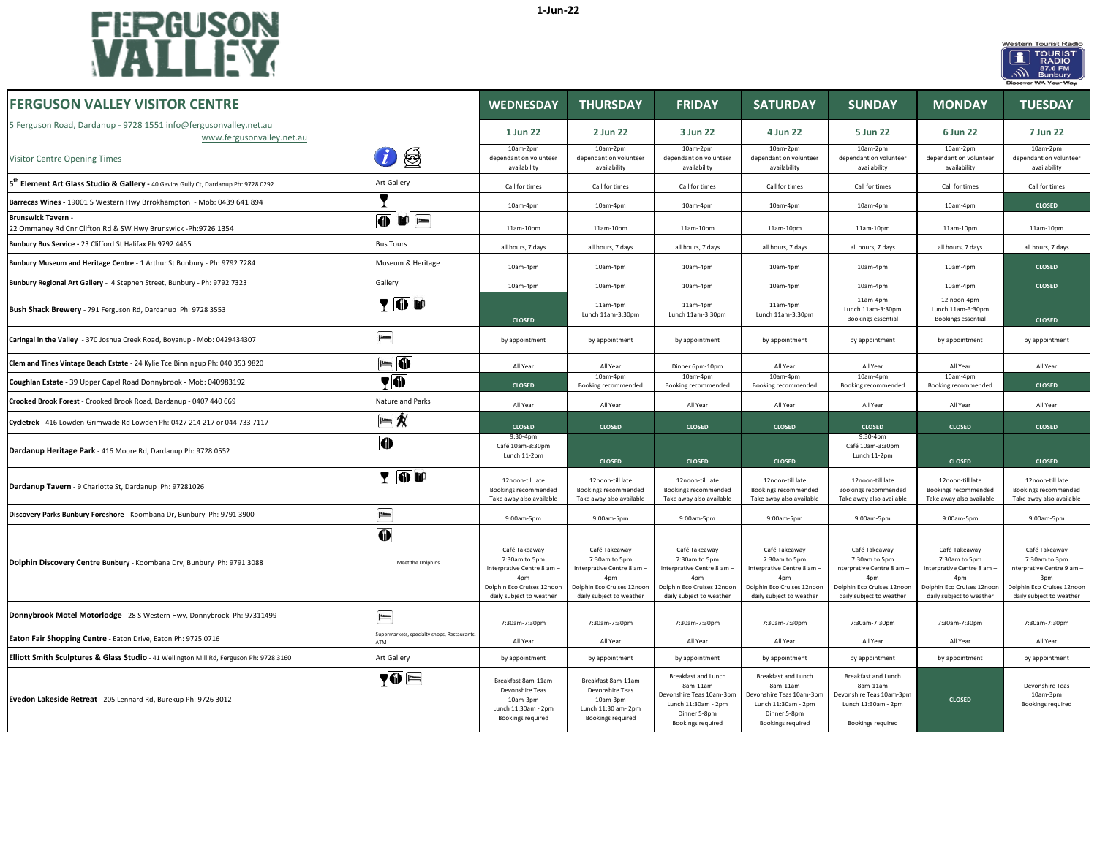



| <b>FERGUSON VALLEY VISITOR CENTRE</b>                                                           |                                                        | <b>WEDNESDAY</b>                                                                                                              | <b>THURSDAY</b>                                                                                                               | <b>FRIDAY</b>                                                                                                                 | <b>SATURDAY</b>                                                                                                                           | <b>SUNDAY</b>                                                                                                                             | <b>MONDAY</b>                                                                                                                             | <b>TUESDAY</b>                                                                                                                |
|-------------------------------------------------------------------------------------------------|--------------------------------------------------------|-------------------------------------------------------------------------------------------------------------------------------|-------------------------------------------------------------------------------------------------------------------------------|-------------------------------------------------------------------------------------------------------------------------------|-------------------------------------------------------------------------------------------------------------------------------------------|-------------------------------------------------------------------------------------------------------------------------------------------|-------------------------------------------------------------------------------------------------------------------------------------------|-------------------------------------------------------------------------------------------------------------------------------|
| 5 Ferguson Road, Dardanup - 9728 1551 info@fergusonvalley.net.au<br>www.fergusonvalley.net.au   |                                                        | 1 Jun 22                                                                                                                      | 2 Jun 22                                                                                                                      | 3 Jun 22                                                                                                                      | 4 Jun 22                                                                                                                                  | 5 Jun 22                                                                                                                                  | 6 Jun 22                                                                                                                                  | 7 Jun 22                                                                                                                      |
| Visitor Centre Opening Times                                                                    | ⊜                                                      | 10am-2pm<br>dependant on volunteer<br>availability                                                                            | 10am-2pm<br>dependant on volunteer<br>availability                                                                            | 10am-2pm<br>dependant on volunteer<br>availability                                                                            | 10am-2pm<br>dependant on volunteer<br>availability                                                                                        | 10am-2pm<br>dependant on volunteer<br>availability                                                                                        | 10am-2pm<br>dependant on volunteer<br>availability                                                                                        | 10am-2pm<br>dependant on volunteer<br>availability                                                                            |
| 5 <sup>th</sup> Element Art Glass Studio & Gallery - 40 Gavins Gully Ct, Dardanup Ph: 9728 0292 | Art Gallery                                            | Call for times                                                                                                                | Call for times                                                                                                                | Call for times                                                                                                                | Call for times                                                                                                                            | Call for times                                                                                                                            | Call for times                                                                                                                            | Call for times                                                                                                                |
| Barrecas Wines - 19001 S Western Hwy Brrokhampton - Mob: 0439 641 894                           |                                                        | 10am-4pm                                                                                                                      | $10am-4nm$                                                                                                                    | $10am-4nm$                                                                                                                    | $10am-4nm$                                                                                                                                | 10am-4pm                                                                                                                                  | $10am-4nm$                                                                                                                                | <b>CLOSED</b>                                                                                                                 |
| <b>Brunswick Tavern -</b><br>22 Ommaney Rd Cnr Clifton Rd & SW Hwy Brunswick -Ph:9726 1354      | $\overline{0}$ if $\overline{1}$                       | 11am-10pm                                                                                                                     | 11am-10pm                                                                                                                     | 11am-10pm                                                                                                                     | 11am-10pm                                                                                                                                 | 11am-10pm                                                                                                                                 | 11am-10pm                                                                                                                                 | $11am-10pn$                                                                                                                   |
| Bunbury Bus Service - 23 Clifford St Halifax Ph 9792 4455                                       | <b>Bus Tours</b>                                       | all hours, 7 days                                                                                                             | all hours, 7 days                                                                                                             | all hours, 7 days                                                                                                             | all hours, 7 days                                                                                                                         | all hours, 7 days                                                                                                                         | all hours, 7 days                                                                                                                         | all hours, 7 days                                                                                                             |
| Bunbury Museum and Heritage Centre - 1 Arthur St Bunbury - Ph: 9792 7284                        | Museum & Heritage                                      | 10am-4pm                                                                                                                      | 10am-4pm                                                                                                                      | 10am-4pm                                                                                                                      | 10am-4pm                                                                                                                                  | 10am-4pm                                                                                                                                  | 10am-4pm                                                                                                                                  | <b>CLOSED</b>                                                                                                                 |
| Bunbury Regional Art Gallery - 4 Stephen Street, Bunbury - Ph: 9792 7323                        | Gallery                                                | 10am-4pm                                                                                                                      | 10am-4pm                                                                                                                      | 10am-4pm                                                                                                                      | 10am-4pm                                                                                                                                  | 10am-4pm                                                                                                                                  | 10am-4pm                                                                                                                                  | <b>CLOSED</b>                                                                                                                 |
| Bush Shack Brewery - 791 Ferguson Rd, Dardanup Ph: 9728 3553                                    | <b>TOD</b>                                             | <b>CLOSED</b>                                                                                                                 | 11am-4pm<br>Lunch 11am-3:30pm                                                                                                 | 11am-4pm<br>Lunch 11am-3:30pm                                                                                                 | 11am-4pm<br>Lunch 11am-3:30pm                                                                                                             | 11am-4pm<br>Lunch 11am-3:30pm<br>Bookings essential                                                                                       | 12 noon-4pm<br>Lunch 11am-3:30pm<br>Bookings essential                                                                                    | <b>CLOSED</b>                                                                                                                 |
| Caringal in the Valley - 370 Joshua Creek Road, Boyanup - Mob: 0429434307                       | $\equiv$                                               | by appointment                                                                                                                | by appointment                                                                                                                | by appointment                                                                                                                | by appointment                                                                                                                            | by appointment                                                                                                                            | by appointment                                                                                                                            | by appointment                                                                                                                |
| Clem and Tines Vintage Beach Estate - 24 Kylie Tce Binningup Ph: 040 353 9820                   | li di                                                  | All Year                                                                                                                      | All Year                                                                                                                      | Dinner 6pm-10pm                                                                                                               | All Year                                                                                                                                  | All Year                                                                                                                                  | All Year                                                                                                                                  | All Year                                                                                                                      |
| Coughlan Estate - 39 Upper Capel Road Donnybrook - Mob: 040983192                               | $\P\Phi$                                               | <b>CLOSED</b>                                                                                                                 | 10am-4pm<br>Booking recommended                                                                                               | 10am-4pm<br>Booking recommended                                                                                               | 10am-4pm<br>Booking recommended                                                                                                           | 10am-4pm<br>Booking recommended                                                                                                           | 10am-4pm<br>Booking recommended                                                                                                           | <b>CLOSED</b>                                                                                                                 |
| Crooked Brook Forest - Crooked Brook Road, Dardanup - 0407 440 669                              | Nature and Parks                                       | All Year                                                                                                                      | All Year                                                                                                                      | All Year                                                                                                                      | All Year                                                                                                                                  | All Year                                                                                                                                  | All Year                                                                                                                                  | All Year                                                                                                                      |
| Cycletrek - 416 Lowden-Grimwade Rd Lowden Ph: 0427 214 217 or 044 733 7117                      | $= 1/2$                                                | <b>CLOSED</b>                                                                                                                 | <b>CLOSED</b>                                                                                                                 | <b>CLOSED</b>                                                                                                                 | <b>CLOSED</b>                                                                                                                             | <b>CLOSED</b>                                                                                                                             | <b>CLOSED</b>                                                                                                                             | <b>CLOSED</b>                                                                                                                 |
| Dardanup Heritage Park - 416 Moore Rd, Dardanup Ph: 9728 0552                                   | $\bf 0$                                                | 9:30-4pm<br>Café 10am-3:30pm<br>Lunch 11-2pm                                                                                  | <b>CLOSED</b>                                                                                                                 | <b>CLOSED</b>                                                                                                                 | <b>CLOSED</b>                                                                                                                             | 9:30-4pm<br>Café 10am-3:30pm<br>Lunch 11-2pm                                                                                              | <b>CLOSED</b>                                                                                                                             | <b>CLOSED</b>                                                                                                                 |
| Dardanup Tavern - 9 Charlotte St, Dardanup Ph: 97281026                                         | YOU                                                    | 12noon-till late<br>Bookings recommended<br>Take away also available                                                          | 12noon-till late<br>Bookings recommended<br>Take away also available                                                          | 12noon-till late<br>Bookings recommended<br>Take away also available                                                          | 12noon-till late<br>Bookings recommended<br>Take away also available                                                                      | 12noon-till late<br>Bookings recommended<br>Take away also available                                                                      | 12noon-till late<br>Bookings recommended<br>Take away also available                                                                      | 12noon-till late<br>Bookings recommended<br>Take away also available                                                          |
| Discovery Parks Bunbury Foreshore - Koombana Dr, Bunbury Ph: 9791 3900                          | $=$                                                    | 9:00am-5pm                                                                                                                    | 9:00am-5pm                                                                                                                    | 9:00am-5pm                                                                                                                    | 9:00am-5pm                                                                                                                                | 9:00am-5pm                                                                                                                                | 9:00am-5pm                                                                                                                                | 9:00am-5pm                                                                                                                    |
| Dolphin Discovery Centre Bunbury - Koombana Drv, Bunbury Ph: 9791 3088                          | $\bf\Psi$<br>Meet the Dolphins                         | Café Takeaway<br>7:30am to 5pm<br>Interprative Centre 8 am -<br>4pm<br>Dolphin Eco Cruises 12noor<br>daily subject to weather | Café Takeaway<br>7:30am to 5pm<br>Interprative Centre 8 am -<br>4pm<br>Dolphin Eco Cruises 12noon<br>daily subject to weather | Café Takeaway<br>7:30am to 5pm<br>Interprative Centre 8 am -<br>4pm<br>Dolphin Eco Cruises 12noor<br>daily subject to weather | Café Takeaway<br>7:30am to 5pm<br>Interprative Centre 8 am -<br>4 <sub>nm</sub><br>Dolphin Eco Cruises 12noon<br>daily subject to weather | Café Takeaway<br>7:30am to 5pm<br>Interprative Centre 8 am -<br>4 <sub>nm</sub><br>Dolphin Eco Cruises 12noon<br>daily subject to weather | Café Takeaway<br>7:30am to 5pm<br>Interprative Centre 8 am -<br>4 <sub>nr</sub><br>Dolphin Eco Cruises 12noon<br>daily subject to weather | Café Takeaway<br>7:30am to 3pm<br>Interprative Centre 9 am -<br>3pm<br>Dolphin Eco Cruises 12noon<br>daily subject to weather |
| Donnybrook Motel Motorlodge - 28 S Western Hwy, Donnybrook Ph: 97311499                         | $\equiv$                                               | 7:30am-7:30pm                                                                                                                 | 7:30am-7:30pm                                                                                                                 | 7:30am-7:30pm                                                                                                                 | 7:30am-7:30pm                                                                                                                             | 7:30am-7:30pm                                                                                                                             | 7:30am-7:30pm                                                                                                                             | 7:30am-7:30pm                                                                                                                 |
| Eaton Fair Shopping Centre - Eaton Drive, Eaton Ph: 9725 0716                                   | upermarkets, specialty shops, Restaurants<br><b>TM</b> | All Year                                                                                                                      | All Year                                                                                                                      | All Year                                                                                                                      | All Year                                                                                                                                  | All Year                                                                                                                                  | All Year                                                                                                                                  | All Year                                                                                                                      |
| Elliott Smith Sculptures & Glass Studio - 41 Wellington Mill Rd, Ferguson Ph: 9728 3160         | Art Gallery                                            | by appointment                                                                                                                | by appointment                                                                                                                | by appointment                                                                                                                | by appointment                                                                                                                            | by appointment                                                                                                                            | by appointment                                                                                                                            | by appointment                                                                                                                |
| Evedon Lakeside Retreat - 205 Lennard Rd, Burekup Ph: 9726 3012                                 | <b>70 E</b>                                            | Breakfast 8am-11am<br>Devonshire Teas<br>10am-3pm<br>Lunch 11:30am - 2pm<br>Bookings required                                 | Breakfast 8am-11am<br>Devonshire Teas<br>10am-3pm<br>Lunch 11:30 am- 2pm<br><b>Bookings required</b>                          | Breakfast and Lunch<br>8am-11am<br>Devonshire Teas 10am-3pm<br>Lunch 11:30am - 2pm<br>Dinner 5-8pm<br>Bookings required       | Breakfast and Lunch<br>8am-11am<br>Devonshire Teas 10am-3pm<br>Lunch 11:30am - 2pm<br>Dinner 5-8pm<br>Bookings required                   | <b>Breakfast and Lunch</b><br>8am-11am<br>Devonshire Teas 10am-3pm<br>Lunch 11:30am - 2pm<br>Bookings required                            | <b>CLOSED</b>                                                                                                                             | Devonshire Teas<br>10am-3pm<br>Bookings required                                                                              |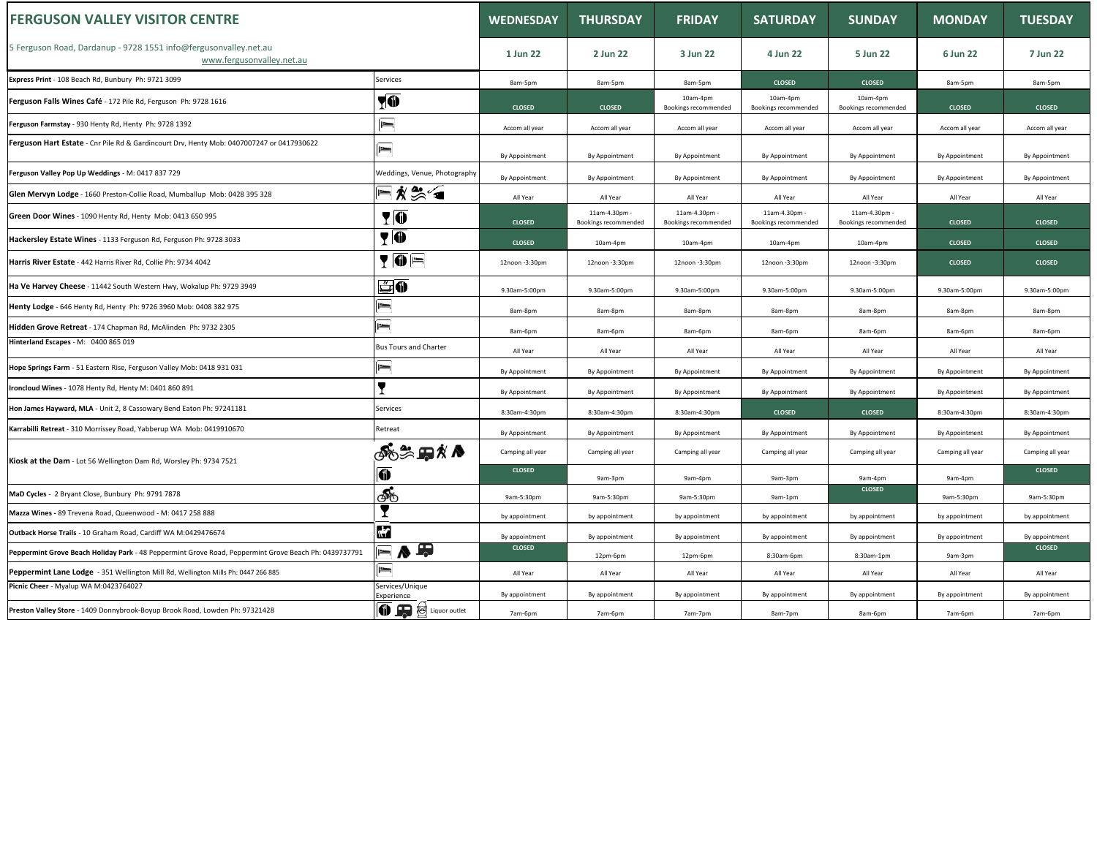| <b>FERGUSON VALLEY VISITOR CENTRE</b>                                                                 |                                          | <b>WEDNESDAY</b> | <b>THURSDAY</b>                       | <b>FRIDAY</b>                         | <b>SATURDAY</b>                       | <b>SUNDAY</b>                         | <b>MONDAY</b>    | <b>TUESDAY</b>   |
|-------------------------------------------------------------------------------------------------------|------------------------------------------|------------------|---------------------------------------|---------------------------------------|---------------------------------------|---------------------------------------|------------------|------------------|
| 5 Ferguson Road, Dardanup - 9728 1551 info@fergusonvalley.net.au<br>www.fergusonvalley.net.au         |                                          | 1 Jun 22         | 2 Jun 22                              | 3 Jun 22                              | 4 Jun 22                              | 5 Jun 22                              | 6 Jun 22         | 7 Jun 22         |
| Express Print - 108 Beach Rd, Bunbury Ph: 9721 3099                                                   | Services                                 | 8am-5pm          | 8am-5pm                               | 8am-5pm                               | <b>CLOSED</b>                         | <b>CLOSED</b>                         | 8am-5pm          | 8am-5pm          |
| Ferguson Falls Wines Café - 172 Pile Rd, Ferguson Ph: 9728 1616                                       | $\P\Phi$                                 | <b>CLOSED</b>    | <b>CLOSED</b>                         | 10am-4pm<br>Bookings recommended      | 10am-4pm<br>Bookings recommended      | 10am-4pm<br>Bookings recommended      | <b>CLOSED</b>    | <b>CLOSED</b>    |
| Ferguson Farmstay - 930 Henty Rd, Henty Ph: 9728 1392                                                 | $\equiv$                                 | Accom all year   | Accom all year                        | Accom all year                        | Accom all year                        | Accom all year                        | Accom all year   | Accom all year   |
| Ferguson Hart Estate - Cnr Pile Rd & Gardincourt Drv, Henty Mob: 0407007247 or 0417930622             | $\equiv$                                 | By Appointment   | By Appointment                        | By Appointment                        | By Appointment                        | By Appointment                        | By Appointment   | By Appointment   |
| Ferguson Valley Pop Up Weddings - M: 0417 837 729                                                     | Weddings, Venue, Photography             | By Appointment   | By Appointment                        | By Appointment                        | By Appointment                        | By Appointment                        | By Appointment   | By Appointment   |
| Glen Mervyn Lodge - 1660 Preston-Collie Road, Mumballup Mob: 0428 395 328                             | F ∦ ₩ 4                                  | All Year         | All Year                              | All Year                              | All Year                              | All Year                              | All Year         | All Year         |
| Green Door Wines - 1090 Henty Rd, Henty Mob: 0413 650 995                                             | <b>TO</b>                                | <b>CLOSED</b>    | 11am-4.30pm -<br>Bookings recommended | 11am-4.30pm -<br>Bookings recommended | 11am-4.30pm -<br>Bookings recommended | 11am-4.30pm -<br>Bookings recommended | <b>CLOSED</b>    | <b>CLOSED</b>    |
| Hackersley Estate Wines - 1133 Ferguson Rd, Ferguson Ph: 9728 3033                                    | $\P$ 0                                   | <b>CLOSED</b>    | 10am-4pm                              | 10am-4pm                              | 10am-4pm                              | 10am-4pm                              | <b>CLOSED</b>    | <b>CLOSED</b>    |
| Harris River Estate - 442 Harris River Rd, Collie Ph: 9734 4042                                       | $\P\overline{\mathbf{0}}$ $\blacksquare$ | 12noon -3:30pm   | 12noon -3:30pm                        | 12noon -3:30pm                        | 12noon -3:30pm                        | 12noon -3:30pm                        | <b>CLOSED</b>    | <b>CLOSED</b>    |
| Ha Ve Harvey Cheese - 11442 South Western Hwy, Wokalup Ph: 9729 3949                                  | ů0                                       | 9.30am-5:00pm    | 9.30am-5:00pm                         | 9.30am-5:00pm                         | 9.30am-5:00pm                         | 9.30am-5:00pm                         | 9.30am-5:00pm    | 9.30am-5:00pm    |
| Henty Lodge - 646 Henty Rd, Henty Ph: 9726 3960 Mob: 0408 382 975                                     | $=$                                      | 8am-8pm          | 8am-8pm                               | 8am-8pm                               | 8am-8pm                               | 8am-8pm                               | 8am-8pm          | 8am-8pm          |
| Hidden Grove Retreat - 174 Chapman Rd, McAlinden Ph: 9732 2305                                        | $\overline{\phantom{a}}$<br>$=$          | 8am-6pm          | 8am-6pm                               | 8am-6pm                               | 8am-6pm                               | 8am-6pm                               | 8am-6pm          | 8am-6pm          |
| Hinterland Escapes - M: 0400 865 019                                                                  | <b>Bus Tours and Charter</b>             | All Year         | All Year                              | All Year                              | All Year                              | All Year                              | All Year         | All Year         |
| Hope Springs Farm - 51 Eastern Rise, Ferguson Valley Mob: 0418 931 031                                | $=$                                      | By Appointment   | By Appointment                        | By Appointment                        | By Appointment                        | By Appointment                        | By Appointment   | By Appointment   |
| Ironcloud Wines - 1078 Henty Rd, Henty M: 0401 860 891                                                | Y                                        | By Appointment   | By Appointment                        | By Appointment                        | By Appointment                        | By Appointment                        | By Appointment   | By Appointment   |
| Hon James Hayward, MLA - Unit 2, 8 Cassowary Bend Eaton Ph: 97241181                                  | Services                                 | 8:30am-4:30pm    | 8:30am-4:30pm                         | 8:30am-4:30pm                         | <b>CLOSED</b>                         | <b>CLOSED</b>                         | 8:30am-4:30pm    | 8:30am-4:30pm    |
| Karrabilli Retreat - 310 Morrissey Road, Yabberup WA Mob: 0419910670                                  | Retreat                                  | By Appointment   | By Appointment                        | By Appointment                        | By Appointment                        | By Appointment                        | By Appointment   | By Appointment   |
| Kiosk at the Dam - Lot 56 Wellington Dam Rd, Worsley Ph: 9734 7521                                    | <b>ூ</b> ் ந∦∧                           | Camping all year | Camping all year                      | Camping all year                      | Camping all year                      | Camping all year                      | Camping all year | Camping all year |
|                                                                                                       | O                                        | <b>CLOSED</b>    | 9am-3pm                               | 9am-4pm                               | 9am-3pm                               | 9am-4pm                               | 9am-4pm          | <b>CLOSED</b>    |
| MaD Cycles - 2 Bryant Close, Bunbury Ph: 9791 7878                                                    | ණ්                                       | 9am-5:30pm       | 9am-5:30pm                            | 9am-5:30pm                            | 9am-1pm                               | <b>CLOSED</b>                         | 9am-5:30pm       | 9am-5:30pm       |
| Mazza Wines - 89 Trevena Road, Queenwood - M: 0417 258 888                                            | T                                        | by appointment   | by appointment                        | by appointment                        | by appointment                        | by appointment                        | by appointment   | by appointment   |
| Outback Horse Trails - 10 Graham Road, Cardiff WA M:0429476674                                        | $\mathbf{r}$                             | By appointment   | By appointment                        | By appointment                        | By appointment                        | By appointment                        | By appointment   | By appointmen    |
| Peppermint Grove Beach Holiday Park - 48 Peppermint Grove Road, Peppermint Grove Beach Ph: 0439737791 | ▄ <mark>▗</mark> ▗                       | <b>CLOSED</b>    | 12pm-6pm                              | 12pm-6pm                              | 8:30am-6pm                            | 8:30am-1pm                            | 9am-3pm          | <b>CLOSED</b>    |
| Peppermint Lane Lodge - 351 Wellington Mill Rd, Wellington Mills Ph: 0447 266 885                     | $=$                                      | All Year         | All Year                              | All Year                              | All Year                              | All Year                              | All Year         | All Year         |
| Picnic Cheer - Myalup WA M:0423764027                                                                 | Services/Unique<br>Experience            | By appointment   | By appointment                        | By appointment                        | By appointment                        | By appointment                        | By appointment   | By appointmen    |
| Preston Valley Store - 1409 Donnybrook-Boyup Brook Road, Lowden Ph: 97321428                          | <b>TE</b> Suiquor outlet                 | 7am-6pm          | 7am-6pm                               | 7am-7pm                               | 8am-7pm                               | 8am-6pm                               | 7am-6pm          | 7am-6pm          |